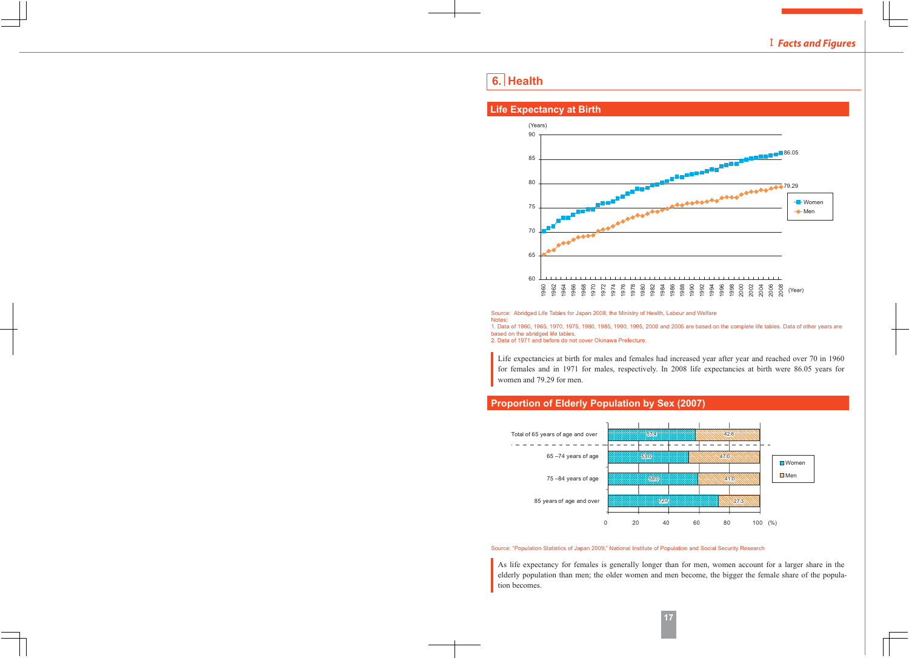# **6. Health**

#### 90 85 80 75 70 65 60 1960 1962 1964 1966 1968 1970 1972 1974 1976 1978 1980 1982 1984 1986 1988 1990 1992 1994 1996 1998 2000 2002 2004 2006 2008 (Years) (Year) -Men Women **86.05**  $-79.29$

# **Life Expectancy at Birth**

Source: Abridged Life Tables for Japan 2008, the Ministry of Health, Labour and Welfare Notes:

1. Data of 1960, 1965, 1970, 1975, 1980, 1985, 1990, 1995, 2000 and 2005 are based on the complete life tables. Data of other years are based on the abridged life tables.

2. Data of 1971 and before do not cover Okinawa Prefecture.

Life expectancies at birth for males and females had increased year after year and reached over 70 in 1960 for females and in 1971 for males, respectively. In 2008 life expectancies at birth were 86.05 years for women and 79.29 for men.

# **Proportion of Elderly Population by Sex (2007)**



Source: "Population Statistics of Japan 2009," National Institute of Population and Social Security Research

As life expectancy for females is generally longer than for men, women account for a larger share in the elderly population than men; the older women and men become, the bigger the female share of the population becomes.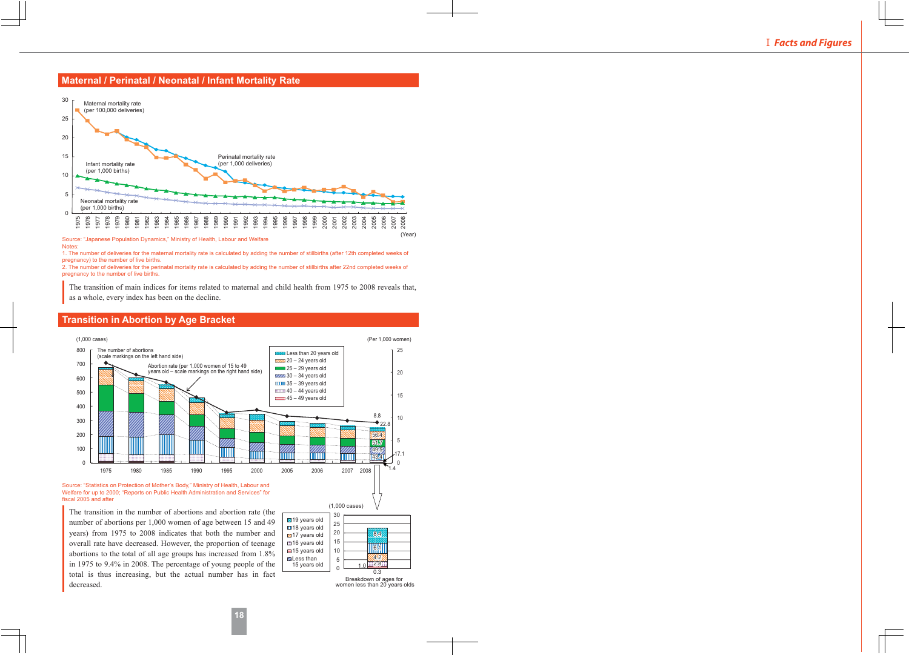### **Maternal / Perinatal / Neonatal / Infant Mortality Rate**



Source: "Japanese Population Dynamics," Ministry of Health, Labour and Welfare Notes:

1. The number of deliveries for the maternal mortality rate is calculated by adding the number of stillbirths (after 12th completed weeks of pregnancy) to the number of live births.

2. The number of deliveries for the perinatal mortality rate is calculated by adding the number of stillbirths after 22nd completed weeks of pregnancy to the number of live births.

The transition of main indices for items related to maternal and child health from 1975 to 2008 reveals that, as a whole, every index has been on the decline.



## **Transition in Abortion by Age Bracket**

Source: "Statistics on Protection of Mother's Body," Ministry of Health, Labour and Welfare for up to 2000; "Reports on Public Health Administration and Services" for fiscal 2005 and after

The transition in the number of abortions and abortion rate (the number of abortions per 1,000 women of age between 15 and 49 years) from 1975 to 2008 indicates that both the number and overall rate have decreased. However, the proportion of teenage abortions to the total of all age groups has increased from 1.8% in 1975 to 9.4% in 2008. The percentage of young people of the total is thus increasing, but the actual number has in fact decreased.



Breakdown of ages for women less than 20 years olds